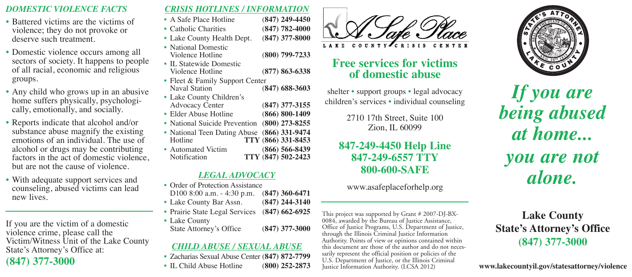#### *DOMESTIC VIOLENCE FACTS*

- Battered victims are the victims of violence; they do not provoke or deserve such treatment.
- Domestic violence occurs among all sectors of society. It happens to people of all racial, economic and religious groups.
- Any child who grows up in an abusive home suffers physically, psychologically, emotionally, and socially.
- Reports indicate that alcohol and/or substance abuse magnify the existing emotions of an individual. The use of alcohol or drugs may be contributing factors in the act of domestic violence, but are not the cause of violence.
- With adequate support services and counseling, abused victims can lead new lives.

If you are the victim of a domestic violence crime, please call the Victim/Witness Unit of the Lake County State's Attorney's Office at:

# **(847) 377-3000**

#### *CRISIS HOTLINES / INFORMATION*

- A Safe Place Hotline (**847) 249-4450**
- Catholic Charities (**847) 782-4000**
- Lake County Health Dept. (**847) 377-8000**
- National Domestic<br>Violence Hotline Violence Hotline (**800) 799-7233**
- IL Statewide Domestic Violence Hotline (**877) 863-6338**
- Fleet & Family Support Center<br>Naval Station Naval Station (**847) 688-3603**
- Lake County Children's Advocacy Center (**847) 377-3155**
- Elder Abuse Hotline (**866) 800-1409**
- National Suicide Prevention (**800) 273-8255**
- National Teen Dating Abuse (**866) 331-9474** Hotline **TTY** (**866) 331-8453** • Automated Victim (**866) 566-8439**
	- Notification **TTY** (**847) 502-2423**

## *LEGAL ADVOCACY*

- Order of Protection Assistance D100 8:00 a.m. 4:30 p.m. (**847) 360-6471**
- Lake County Bar Assn. (**847) 244-3140**
- Prairie State Legal Services (**847) 662-6925**
- Lake County State Attorney's Office (**847) 377-3000**

# *CHILD ABUSE / SEXUAL ABUSE*

- Zacharias Sexual Abuse Center (**847) 872-7799**
- IL Child Abuse Hotline (**800) 252-2873**



# **Free services for victims of domestic abuse**

shelter • support groups • legal advocacy children's services • individual counseling

> 2710 17th Street, Suite 100 Zion, IL 60099

# **847-249-4450 Help Line 847-249-6557 TTY 800-600-SAFE**

www.asafeplaceforhelp.org

This project was supported by Grant # 2007-DJ-BX-0084, awarded by the Bureau of Justice Assistance, Office of Justice Programs, U.S. Department of Justice, through the Illinois Criminal Justice Information Authority. Point U.S. Department of Justice, or the Illinois Criminal Justice Information Authority. (LCSA 2012)



*If you are being abused at home... you are not alone.*

**Lake County State's Attorney's Office (847) 377-3000**

**www.lakecountyil.gov/statesattorney/violence**